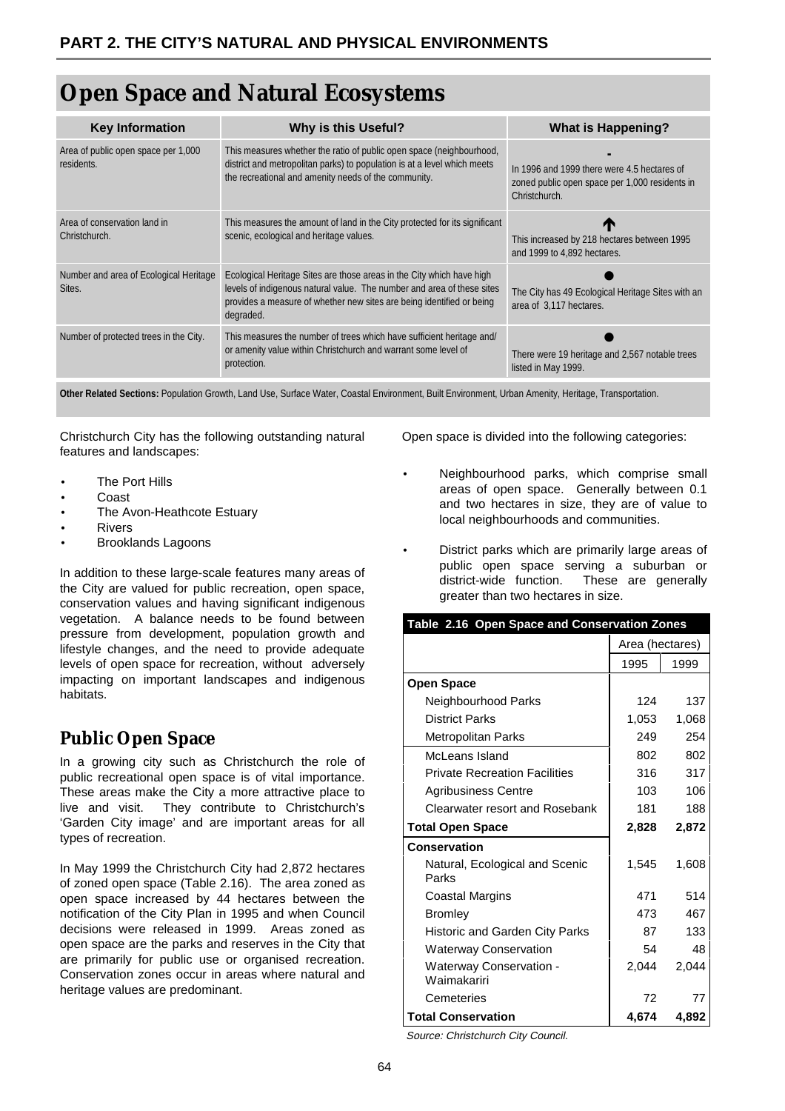# **Open Space and Natural Ecosystems**

| <b>Key Information</b>                            | <b>Why is this Useful?</b>                                                                                                                                                                                                            | <b>What is Happening?</b>                                                                                      |  |
|---------------------------------------------------|---------------------------------------------------------------------------------------------------------------------------------------------------------------------------------------------------------------------------------------|----------------------------------------------------------------------------------------------------------------|--|
| Area of public open space per 1,000<br>residents. | This measures whether the ratio of public open space (neighbourhood,<br>district and metropolitan parks) to population is at a level which meets<br>the recreational and amenity needs of the community.                              | In 1996 and 1999 there were 4.5 hectares of<br>zoned public open space per 1,000 residents in<br>Christchurch. |  |
| Area of conservation land in<br>Christchurch.     | This measures the amount of land in the City protected for its significant<br>scenic, ecological and heritage values.                                                                                                                 | m<br>This increased by 218 hectares between 1995<br>and 1999 to 4,892 hectares.                                |  |
| Number and area of Ecological Heritage<br>Sites.  | Ecological Heritage Sites are those areas in the City which have high<br>levels of indigenous natural value. The number and area of these sites<br>provides a measure of whether new sites are being identified or being<br>degraded. | The City has 49 Ecological Heritage Sites with an<br>area of 3.117 hectares.                                   |  |
| Number of protected trees in the City.            | This measures the number of trees which have sufficient heritage and/<br>or amenity value within Christchurch and warrant some level of<br>protection.                                                                                | There were 19 heritage and 2,567 notable trees<br>listed in May 1999.                                          |  |

**Other Related Sections:** Population Growth, Land Use, Surface Water, Coastal Environment, Built Environment, Urban Amenity, Heritage, Transportation.

Christchurch City has the following outstanding natural features and landscapes:

- **The Port Hills**
- Coast
- The Avon-Heathcote Estuary
- **Rivers**
- Brooklands Lagoons

In addition to these large-scale features many areas of the City are valued for public recreation, open space, conservation values and having significant indigenous vegetation. A balance needs to be found between pressure from development, population growth and lifestyle changes, and the need to provide adequate levels of open space for recreation, without adversely impacting on important landscapes and indigenous habitats.

### **Public Open Space**

In a growing city such as Christchurch the role of public recreational open space is of vital importance. These areas make the City a more attractive place to live and visit. They contribute to Christchurch's 'Garden City image' and are important areas for all types of recreation.

In May 1999 the Christchurch City had 2,872 hectares of zoned open space (Table 2.16). The area zoned as open space increased by 44 hectares between the notification of the City Plan in 1995 and when Council decisions were released in 1999. Areas zoned as open space are the parks and reserves in the City that are primarily for public use or organised recreation. Conservation zones occur in areas where natural and heritage values are predominant.

Open space is divided into the following categories:

- Neighbourhood parks, which comprise small areas of open space. Generally between 0.1 and two hectares in size, they are of value to local neighbourhoods and communities.
- District parks which are primarily large areas of public open space serving a suburban or district-wide function. These are generally greater than two hectares in size.

| Table 2.16 Open Space and Conservation Zones |                 |       |  |
|----------------------------------------------|-----------------|-------|--|
|                                              | Area (hectares) |       |  |
|                                              | 1995            | 1999  |  |
| <b>Open Space</b>                            |                 |       |  |
| Neighbourhood Parks                          | 124             | 137   |  |
| <b>District Parks</b>                        | 1,053           | 1,068 |  |
| <b>Metropolitan Parks</b>                    | 249             | 254   |  |
| McLeans Island                               | 802             | 802   |  |
| <b>Private Recreation Facilities</b>         | 316             | 317   |  |
| <b>Agribusiness Centre</b>                   | 103             | 106   |  |
| Clearwater resort and Rosebank               | 181             | 188   |  |
| <b>Total Open Space</b>                      | 2,828           | 2,872 |  |
| Conservation                                 |                 |       |  |
| Natural, Ecological and Scenic<br>Parks      | 1.545           | 1,608 |  |
| Coastal Margins                              | 471             | 514   |  |
| <b>Bromley</b>                               | 473             | 467   |  |
| <b>Historic and Garden City Parks</b>        | 87              | 133   |  |
| <b>Waterway Conservation</b>                 | 54              | 48    |  |
| Waterway Conservation -<br>Waimakariri       | 2,044           | 2,044 |  |
| Cemeteries                                   | 72              | 77    |  |
| <b>Total Conservation</b>                    | 4.674           | 4.892 |  |

Source: Christchurch City Council.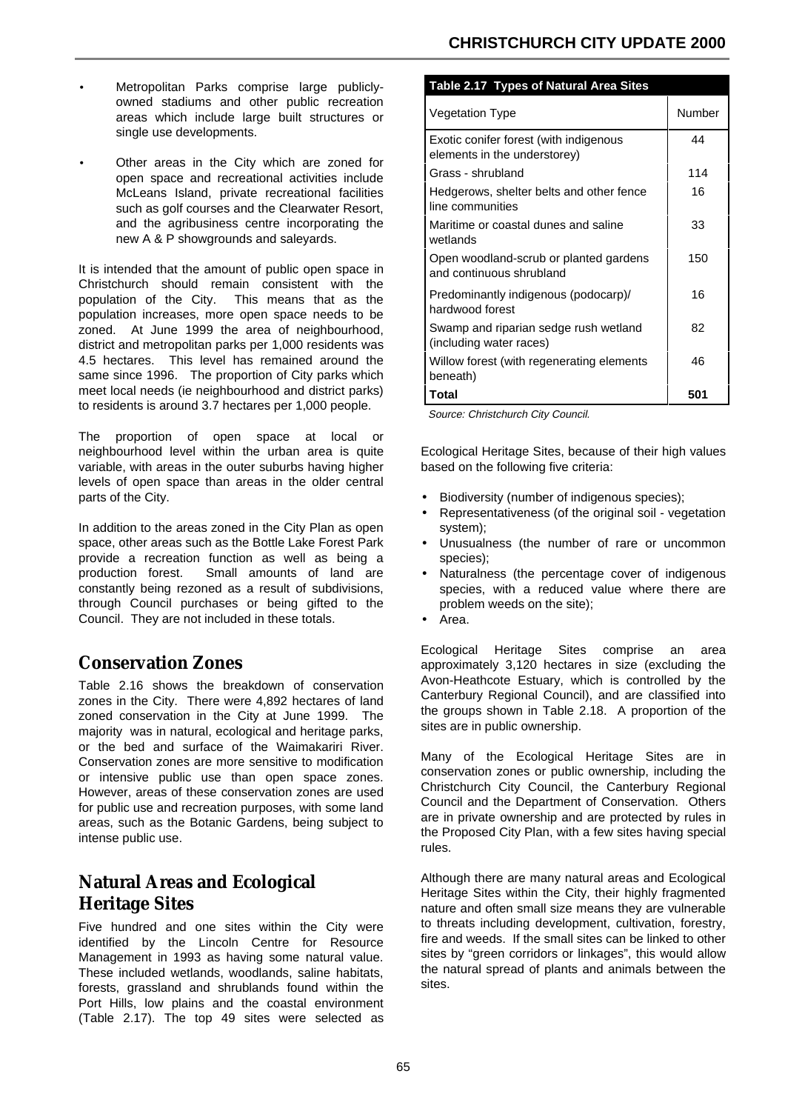- Metropolitan Parks comprise large publiclyowned stadiums and other public recreation areas which include large built structures or single use developments.
- Other areas in the City which are zoned for open space and recreational activities include McLeans Island, private recreational facilities such as golf courses and the Clearwater Resort, and the agribusiness centre incorporating the new A & P showgrounds and saleyards.

It is intended that the amount of public open space in Christchurch should remain consistent with the population of the City. This means that as the population increases, more open space needs to be zoned. At June 1999 the area of neighbourhood, district and metropolitan parks per 1,000 residents was 4.5 hectares. This level has remained around the same since 1996. The proportion of City parks which meet local needs (ie neighbourhood and district parks) to residents is around 3.7 hectares per 1,000 people.

The proportion of open space at local or neighbourhood level within the urban area is quite variable, with areas in the outer suburbs having higher levels of open space than areas in the older central parts of the City.

In addition to the areas zoned in the City Plan as open space, other areas such as the Bottle Lake Forest Park provide a recreation function as well as being a production forest. Small amounts of land are constantly being rezoned as a result of subdivisions, through Council purchases or being gifted to the Council. They are not included in these totals.

### **Conservation Zones**

Table 2.16 shows the breakdown of conservation zones in the City. There were 4,892 hectares of land zoned conservation in the City at June 1999. The majority was in natural, ecological and heritage parks, or the bed and surface of the Waimakariri River. Conservation zones are more sensitive to modification or intensive public use than open space zones. However, areas of these conservation zones are used for public use and recreation purposes, with some land areas, such as the Botanic Gardens, being subject to intense public use.

## **Natural Areas and Ecological Heritage Sites**

Five hundred and one sites within the City were identified by the Lincoln Centre for Resource Management in 1993 as having some natural value. These included wetlands, woodlands, saline habitats, forests, grassland and shrublands found within the Port Hills, low plains and the coastal environment (Table 2.17). The top 49 sites were selected as

#### **Table 2.17 Types of Natural Area Sites**

| <b>Vegetation Type</b>                                                 | Number |  |
|------------------------------------------------------------------------|--------|--|
| Exotic conifer forest (with indigenous<br>elements in the understorey) | 44     |  |
| Grass - shrubland                                                      | 114    |  |
| Hedgerows, shelter belts and other fence<br>line communities           | 16     |  |
| Maritime or coastal dunes and saline<br>wetlands                       | 33     |  |
| Open woodland-scrub or planted gardens<br>and continuous shrubland     | 150    |  |
| Predominantly indigenous (podocarp)/<br>hardwood forest                | 16     |  |
| Swamp and riparian sedge rush wetland<br>(including water races)       | 82     |  |
| Willow forest (with regenerating elements<br>beneath)                  | 46     |  |
| Total                                                                  | 501    |  |

Source: Christchurch City Council.

Ecological Heritage Sites, because of their high values based on the following five criteria:

- Biodiversity (number of indigenous species);
- Representativeness (of the original soil vegetation system);
- Unusualness (the number of rare or uncommon species);
- Naturalness (the percentage cover of indigenous species, with a reduced value where there are problem weeds on the site);
- Area.

Ecological Heritage Sites comprise an area approximately 3,120 hectares in size (excluding the Avon-Heathcote Estuary, which is controlled by the Canterbury Regional Council), and are classified into the groups shown in Table 2.18. A proportion of the sites are in public ownership.

Many of the Ecological Heritage Sites are in conservation zones or public ownership, including the Christchurch City Council, the Canterbury Regional Council and the Department of Conservation. Others are in private ownership and are protected by rules in the Proposed City Plan, with a few sites having special rules.

Although there are many natural areas and Ecological Heritage Sites within the City, their highly fragmented nature and often small size means they are vulnerable to threats including development, cultivation, forestry, fire and weeds. If the small sites can be linked to other sites by "green corridors or linkages", this would allow the natural spread of plants and animals between the sites.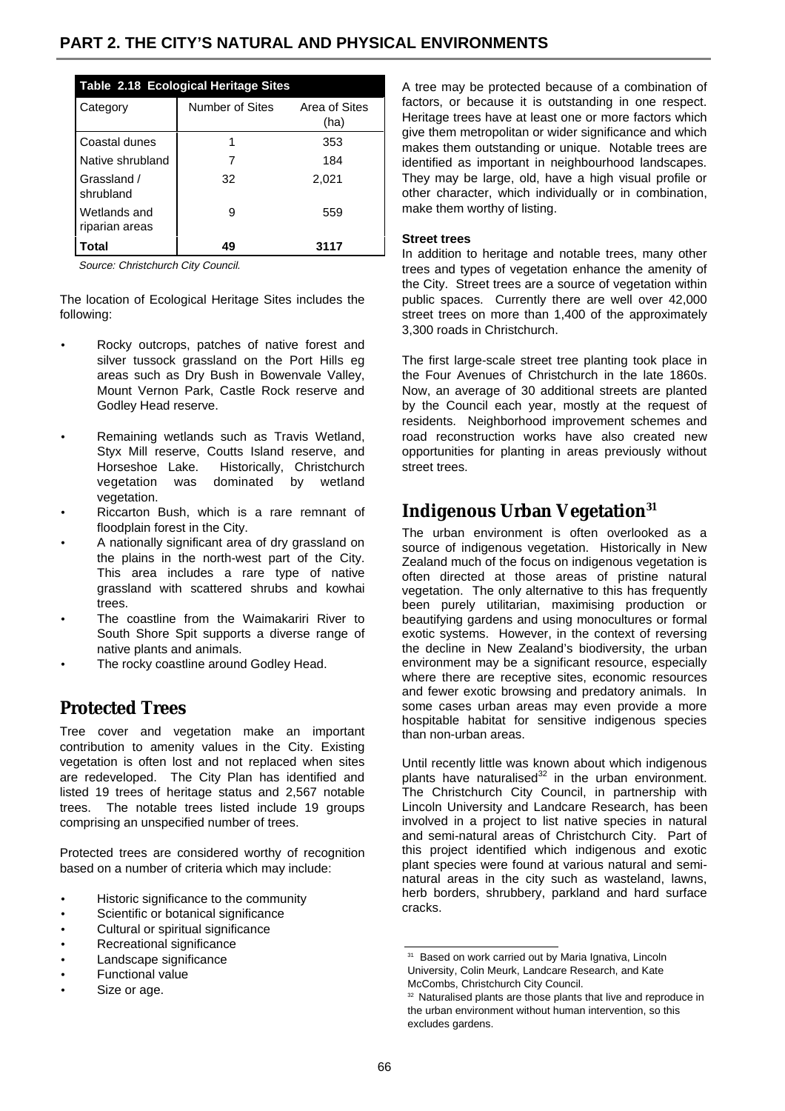| Table 2.18 Ecological Heritage Sites |                 |                       |  |  |  |  |
|--------------------------------------|-----------------|-----------------------|--|--|--|--|
| Category                             | Number of Sites | Area of Sites<br>(ha) |  |  |  |  |
| Coastal dunes                        |                 | 353                   |  |  |  |  |
| Native shrubland                     |                 | 184                   |  |  |  |  |
| Grassland /<br>shrubland             | 32              | 2,021                 |  |  |  |  |
| Wetlands and<br>riparian areas       | 9               | 559                   |  |  |  |  |
| Total                                | 49              | 3117                  |  |  |  |  |

Source: Christchurch City Council.

The location of Ecological Heritage Sites includes the following:

- Rocky outcrops, patches of native forest and silver tussock grassland on the Port Hills eg areas such as Dry Bush in Bowenvale Valley, Mount Vernon Park, Castle Rock reserve and Godley Head reserve.
- Remaining wetlands such as Travis Wetland, Styx Mill reserve, Coutts Island reserve, and Horseshoe Lake. Historically, Christchurch vegetation was dominated by wetland vegetation.
- Riccarton Bush, which is a rare remnant of floodplain forest in the City.
- A nationally significant area of dry grassland on the plains in the north-west part of the City. This area includes a rare type of native grassland with scattered shrubs and kowhai trees.
- The coastline from the Waimakariri River to South Shore Spit supports a diverse range of native plants and animals.
- The rocky coastline around Godley Head.

#### **Protected Trees**

Tree cover and vegetation make an important contribution to amenity values in the City. Existing vegetation is often lost and not replaced when sites are redeveloped. The City Plan has identified and listed 19 trees of heritage status and 2,567 notable trees. The notable trees listed include 19 groups comprising an unspecified number of trees.

Protected trees are considered worthy of recognition based on a number of criteria which may include:

- Historic significance to the community
- Scientific or botanical significance
- Cultural or spiritual significance
- Recreational significance
- Landscape significance
- Functional value
- Size or age.

A tree may be protected because of a combination of factors, or because it is outstanding in one respect. Heritage trees have at least one or more factors which give them metropolitan or wider significance and which makes them outstanding or unique. Notable trees are identified as important in neighbourhood landscapes. They may be large, old, have a high visual profile or other character, which individually or in combination, make them worthy of listing.

#### **Street trees**

In addition to heritage and notable trees, many other trees and types of vegetation enhance the amenity of the City. Street trees are a source of vegetation within public spaces. Currently there are well over 42,000 street trees on more than 1,400 of the approximately 3,300 roads in Christchurch.

The first large-scale street tree planting took place in the Four Avenues of Christchurch in the late 1860s. Now, an average of 30 additional streets are planted by the Council each year, mostly at the request of residents. Neighborhood improvement schemes and road reconstruction works have also created new opportunities for planting in areas previously without street trees.

#### **Indigenous Urban Vegetation31**

The urban environment is often overlooked as a source of indigenous vegetation. Historically in New Zealand much of the focus on indigenous vegetation is often directed at those areas of pristine natural vegetation. The only alternative to this has frequently been purely utilitarian, maximising production or beautifying gardens and using monocultures or formal exotic systems. However, in the context of reversing the decline in New Zealand's biodiversity, the urban environment may be a significant resource, especially where there are receptive sites, economic resources and fewer exotic browsing and predatory animals. In some cases urban areas may even provide a more hospitable habitat for sensitive indigenous species than non-urban areas.

Until recently little was known about which indigenous plants have naturalised $32$  in the urban environment. The Christchurch City Council, in partnership with Lincoln University and Landcare Research, has been involved in a project to list native species in natural and semi-natural areas of Christchurch City. Part of this project identified which indigenous and exotic plant species were found at various natural and seminatural areas in the city such as wasteland, lawns, herb borders, shrubbery, parkland and hard surface cracks.

<sup>&</sup>lt;sup>31</sup> Based on work carried out by Maria Ignativa, Lincoln University, Colin Meurk, Landcare Research, and Kate McCombs, Christchurch City Council.

<sup>&</sup>lt;sup>32</sup> Naturalised plants are those plants that live and reproduce in the urban environment without human intervention, so this excludes gardens.